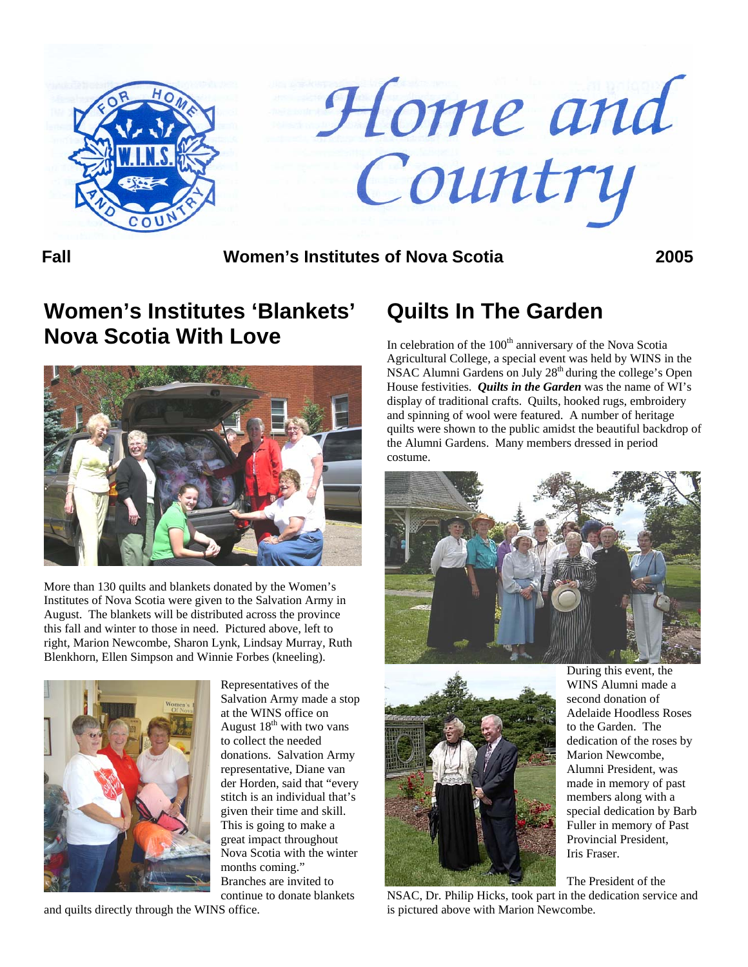

Home and Country

**Fall Women's Institutes of Nova Scotia 2005**

# **Women's Institutes 'Blankets' Nova Scotia With Love**



More than 130 quilts and blankets donated by the Women's Institutes of Nova Scotia were given to the Salvation Army in August. The blankets will be distributed across the province this fall and winter to those in need. Pictured above, left to right, Marion Newcombe, Sharon Lynk, Lindsay Murray, Ruth Blenkhorn, Ellen Simpson and Winnie Forbes (kneeling).



Representatives of the Salvation Army made a s top at the WINS office on August  $18<sup>th</sup>$  with two vans to collect the needed donations. Salvation Army representative, Diane van der Horden, said that "every stitch is an individual that's given their time and skill. This is going to make a great impact throughout Nova Scotia with the winter months coming." Branches are invited to continue to donate blankets

and quilts directly through the WINS office.

# **Quilts In The Garden**

In celebration of the  $100<sup>th</sup>$  anniversary of the Nova Scotia Agricultural College, a special event was held by WINS in the NSAC Alumni Gardens on July 28<sup>th</sup> during the college's Open House festivities. *Quilts in the Garden* was the name of WI's display of traditional crafts. Quilts, hooked rugs, embroidery and spinning of wool were featured. A number of heritage quilts were shown to the public amidst the beautiful backdrop of the Alumni Gardens. Many members dressed in period costume.





During this event, the WINS Alumni made a second donation of Adelaide Hoodless Roses to the Garden. The dedication of the roses by Marion Newcombe, Alumni President, was made in memory of past members along with a special dedication by Barb Fuller in memory of Past Provincial President, Iris Fraser.

The President of the NSAC, Dr. Philip Hicks, took part in the dedication service and is pictured above with Marion Newcombe.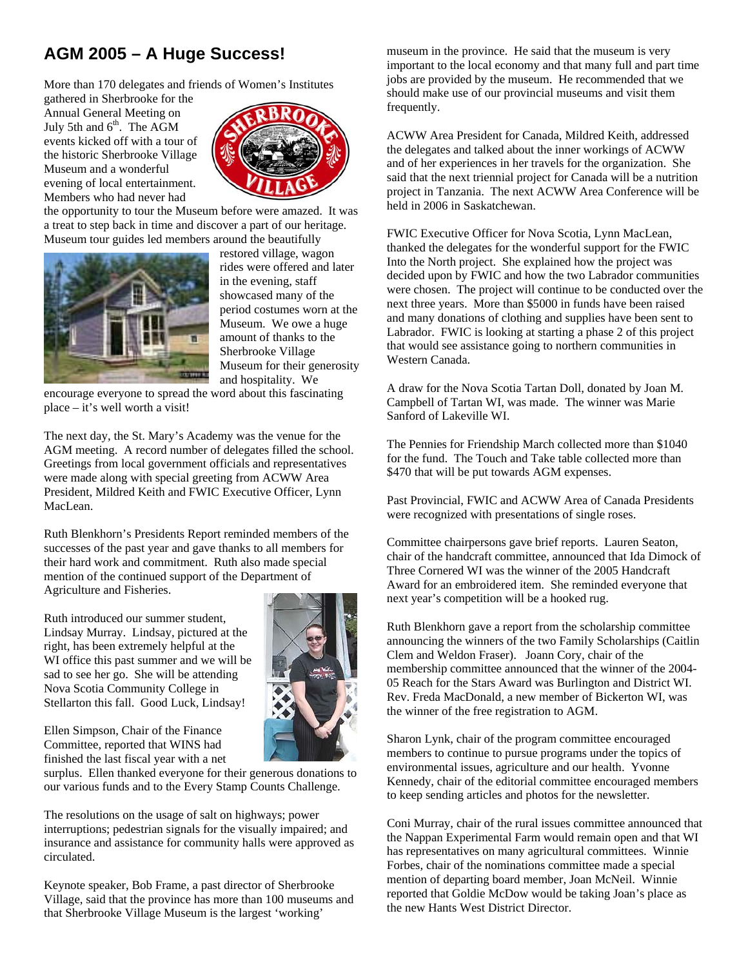## **AGM 2005 – A Huge Success!**

More than 170 delegates and friends of Women's Institutes

gathered in Sherbrooke for the Annual General Meeting on July 5th and  $6<sup>th</sup>$ . The AGM events kicked off with a tour of the historic Sherbrooke Vil lage Museum and a wonderfu l evening of local entertainme nt. Members who had never had



the opportunity to tour the Museum before were amazed. It was a treat to step back in time and discover a part of our heritage. Museum tour guides led members around the beautifully



restored village, wagon rides were offered and later in the evening, staff showcased many of the period costumes worn at the Museum. We owe a huge amount of thanks to the Sherbrooke Village Museum for their generosity and hospitality. We

encourage everyone to spread the word about this fascinating place – it's well worth a visit!

The next day, the St. Mary's Academy was the venue for the AGM meeting. A record number of delegates filled the school. Greetings from local government officials and representatives were made along with special greeting from ACWW Area President, Mildred Keith and FWIC Executive Officer, Lynn MacLean.

Ruth Blenkhorn's Presidents Report reminded members of the successes of the past year and gave thanks to all members for their hard work and commitment. Ruth also made special mention of the continued support of the Department of Agriculture and Fisheries.

Ruth introduced our summer student, Lindsay Murray. Lindsay, pictured at the right, has been extremely helpful at the WI office this past summer and we will be sad to see her go. She will be attending Nova Scotia Community College in Stellarton this fall. Good Luck, Lindsay!



Ellen Simpson, Chair of the Finance Committee, reported that WINS had finished the last fiscal year with a net

surplus. Ellen thanked everyone for their generous donations to our various funds and to the Every Stamp Counts Challenge.

The resolutions on the usage of salt on highways; power interruptions; pedestrian signals for the visually impaired; and insurance and assistance for community halls were approved as circulated.

Keynote speaker, Bob Frame, a past director of Sherbrooke Village, said that the province has more than 100 museums and that Sherbrooke Village Museum is the largest 'working'

museum in the province. He said that the museum is very important to the local economy and that many full and part time jobs are provided by the museum. He recommended that we should make use of our provincial museums and visit them frequently.

ACWW Area President for Canada, Mildred Keith, addressed the delegates and talked about the inner workings of ACWW and of her experiences in her travels for the organization. She said that the next triennial project for Canada will be a nutrition project in Tanzania. The next ACWW Area Conference will be held in 2006 in Saskatchewan.

FWIC Executive Officer for Nova Scotia, Lynn MacLean, thanked the delegates for the wonderful support for the FWIC Into the North project. She explained how the project was decided upon by FWIC and how the two Labrador communities were chosen. The project will continue to be conducted over the next three years. More than \$5000 in funds have been raised and many donations of clothing and supplies have been sent to Labrador. FWIC is looking at starting a phase 2 of this project that would see assistance going to northern communities in Western Canada.

A draw for the Nova Scotia Tartan Doll, donated by Joan M. Campbell of Tartan WI, was made. The winner was Marie Sanford of Lakeville WI.

The Pennies for Friendship March collected more than \$1040 for the fund. The Touch and Take table collected more than \$470 that will be put towards AGM expenses.

Past Provincial, FWIC and ACWW Area of Canada Presidents were recognized with presentations of single roses.

Committee chairpersons gave brief reports. Lauren Seaton, chair of the handcraft committee, announced that Ida Dimock of Three Cornered WI was the winner of the 2005 Handcraft Award for an embroidered item. She reminded everyone that next year's competition will be a hooked rug.

Ruth Blenkhorn gave a report from the scholarship committee announcing the winners of the two Family Scholarships (Caitlin Clem and Weldon Fraser). Joann Cory, chair of the membership committee announced that the winner of the 2004- 05 Reach for the Stars Award was Burlington and District WI. Rev. Freda MacDonald, a new member of Bickerton WI, was the winner of the free registration to AGM.

Sharon Lynk, chair of the program committee encouraged members to continue to pursue programs under the topics of environmental issues, agriculture and our health. Yvonne Kennedy, chair of the editorial committee encouraged members to keep sending articles and photos for the newsletter.

Coni Murray, chair of the rural issues committee announced that the Nappan Experimental Farm would remain open and that WI has representatives on many agricultural committees. Winnie Forbes, chair of the nominations committee made a special mention of departing board member, Joan McNeil. Winnie reported that Goldie McDow would be taking Joan's place as the new Hants West District Director.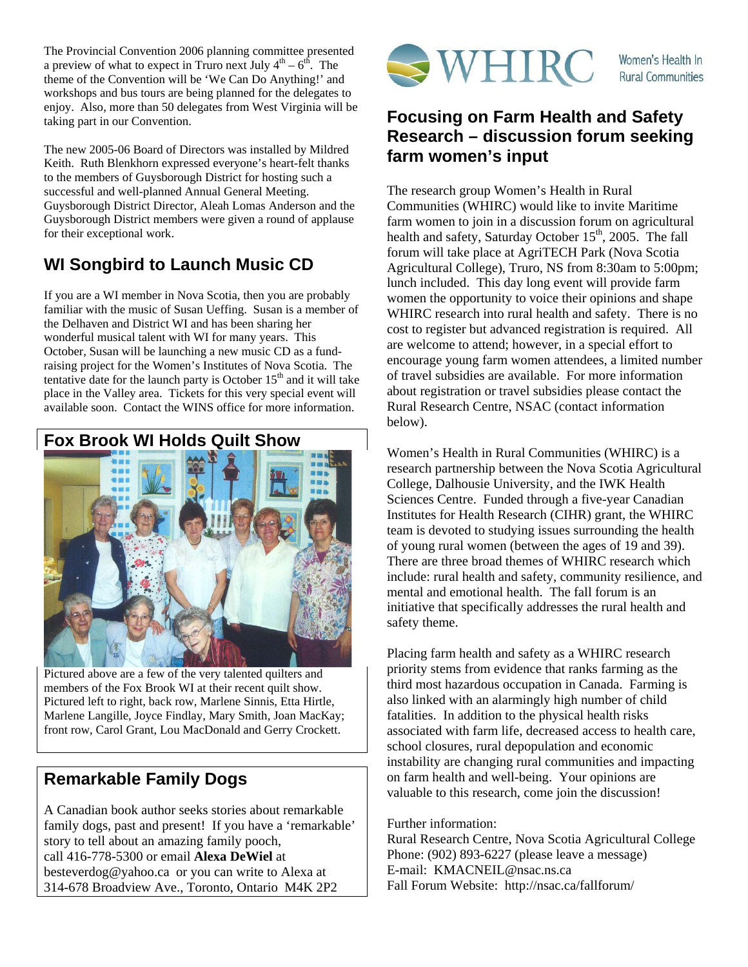The Provincial Convention 2006 planning committee presented a preview of what to expect in Truro next July  $4<sup>th</sup> - 6<sup>th</sup>$ . The theme of the Convention will be 'We Can Do Anything!' and workshops and bus tours are being planned for the delegates to enjoy. Also, more than 50 delegates from West Virginia will be taking part in our Convention.

The new 2005-06 Board of Directors was installed by Mildred Keith. Ruth Blenkhorn expressed everyone's heart-felt thanks to the members of Guysborough District for hosting such a successful and well-planned Annual General Meeting. Guysborough District Director, Aleah Lomas Anderson and the Guysborough District members were given a round of applause for their exceptional work.

## **WI Songbird to Launch Music CD**

If you are a WI member in Nova Scotia, then you are probably familiar with the music of Susan Ueffing. Susan is a member of the Delhaven and District WI and has been sharing her wonderful musical talent with WI for many years. This October, Susan will be launching a new music CD as a fundraising project for the Women's Institutes of Nova Scotia. The tentative date for the launch party is October  $15<sup>th</sup>$  and it will take place in the Valley area. Tickets for this very special event will available soon. Contact the WINS office for more information.





Pictured above are a few of the very talented quilters and members of the Fox Brook WI at their recent quilt show. Pictured left to right, back row, Marlene Sinnis, Etta Hirtle, Marlene Langille, Joyce Findlay, Mary Smith, Joan MacKay; front row, Carol Grant, Lou MacDonald and Gerry Crockett.

## **Remarkable Family Dogs**

A Canadian book author seeks stories about remarkable family dogs, past and present! If you have a 'remarkable' story to tell about an amazing family pooch, call 416-778-5300 or email **Alexa DeWiel** at [besteverdog@yahoo.ca](mailto:besteverdog@yahoo.ca) or you can write to Alexa at 314-678 Broadview Ave., Toronto, Ontario M4K 2P2



### **Focusing on Farm Health and Safety Research – discussion forum seeking farm women's input**

The research group Women's Health in Rural Communities (WHIRC) would like to invite Maritime farm women to join in a discussion forum on agricultural health and safety, Saturday October  $15<sup>th</sup>$ , 2005. The fall forum will take place at AgriTECH Park (Nova Scotia Agricultural College), Truro, NS from 8:30am to 5:00pm; lunch included. This day long event will provide farm women the opportunity to voice their opinions and shape WHIRC research into rural health and safety. There is no cost to register but advanced registration is required. All are welcome to attend; however, in a special effort to encourage young farm women attendees, a limited number of travel subsidies are available. For more information about registration or travel subsidies please contact the Rural Research Centre, NSAC (contact information below).

Women's Health in Rural Communities (WHIRC) is a research partnership between the Nova Scotia Agricultural College, Dalhousie University, and the IWK Health Sciences Centre. Funded through a five-year Canadian Institutes for Health Research (CIHR) grant, the WHIRC team is devoted to studying issues surrounding the health of young rural women (between the ages of 19 and 39). There are three broad themes of WHIRC research which include: rural health and safety, community resilience, and mental and emotional health. The fall forum is an initiative that specifically addresses the rural health and safety theme.

Placing farm health and safety as a WHIRC research priority stems from evidence that ranks farming as the third most hazardous occupation in Canada. Farming is also linked with an alarmingly high number of child fatalities. In addition to the physical health risks associated with farm life, decreased access to health care, school closures, rural depopulation and economic instability are changing rural communities and impacting on farm health and well-being. Your opinions are valuable to this research, come join the discussion!

Further information:

Rural Research Centre, Nova Scotia Agricultural College Phone: (902) 893-6227 (please leave a message) E-mail: [KMACNEIL@nsac.ns.ca](mailto:KMACNEIL@nsac.ns.ca) Fall Forum Website: <http://nsac.ca/fallforum/>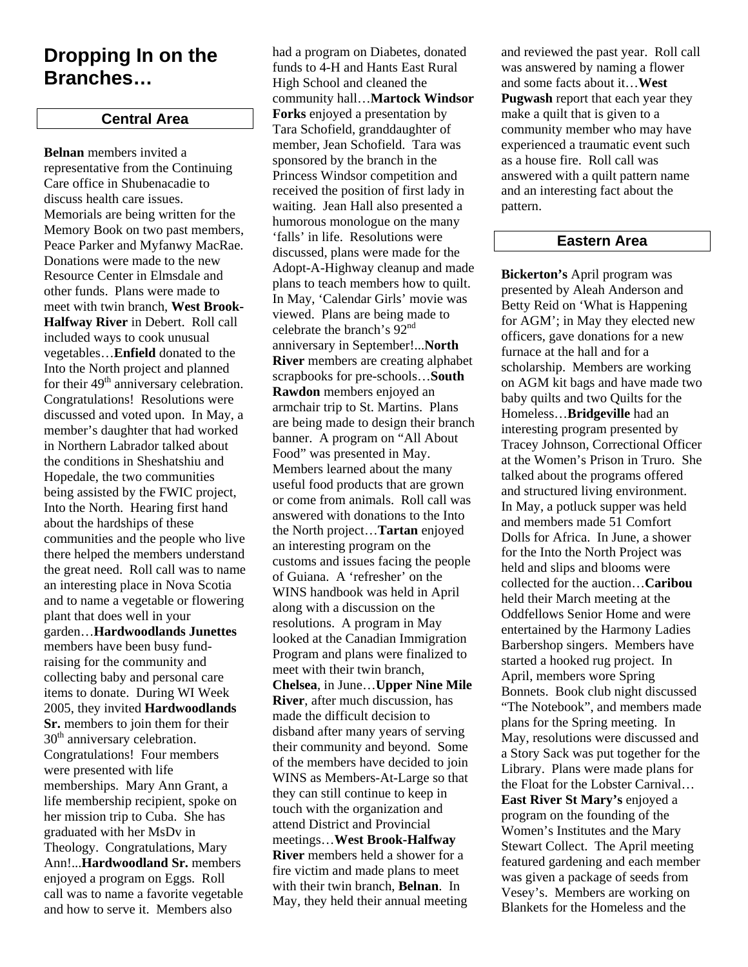## **Dropping In on the Branches…**

### **Central Area**

**Belnan** members invited a representative from the Continuing Care office in Shubenacadie to discuss health care issues. Memorials are being written for the Memory Book on two past members, Peace Parker and Myfanwy MacRae. Donations were made to the new Resource Center in Elmsdale and other funds. Plans were made to meet with twin branch, **West Brook-Halfway River** in Debert. Roll call included ways to cook unusual vegetables…**Enfield** donated to the Into the North project and planned for their  $49<sup>th</sup>$  anniversary celebration. Congratulations! Resolutions were discussed and voted upon. In May, a member's daughter that had worked in Northern Labrador talked about the conditions in Sheshatshiu and Hopedale, the two communities being assisted by the FWIC project, Into the North. Hearing first hand about the hardships of these communities and the people who live there helped the members understand the great need. Roll call was to name an interesting place in Nova Scotia and to name a vegetable or flowering plant that does well in your garden…**Hardwoodlands Junettes** members have been busy fundraising for the community and collecting baby and personal care items to donate. During WI Week 2005, they invited **Hardwoodlands Sr.** members to join them for their 30<sup>th</sup> anniversary celebration. Congratulations! Four members were presented with life memberships. Mary Ann Grant, a life membership recipient, spoke on her mission trip to Cuba. She has graduated with her MsDv in Theology. Congratulations, Mary Ann!...**Hardwoodland Sr.** members enjoyed a program on Eggs. Roll call was to name a favorite vegetable and how to serve it. Members also

had a program on Diabetes, donated funds to 4-H and Hants East Rural High School and cleaned the community hall…**Martock Windsor Forks** enjoyed a presentation by Tara Schofield, granddaughter of member, Jean Schofield. Tara was sponsored by the branch in the Princess Windsor competition and received the position of first lady in waiting. Jean Hall also presented a humorous monologue on the many 'falls' in life. Resolutions were discussed, plans were made for the Adopt-A-Highway cleanup and made plans to teach members how to quilt. In May, 'Calendar Girls' movie was viewed. Plans are being made to celebrate the branch's 92nd anniversary in September!...**North River** members are creating alphabet scrapbooks for pre-schools…**South Rawdon** members enjoyed an armchair trip to St. Martins. Plans are being made to design their branch banner. A program on "All About Food" was presented in May. Members learned about the many useful food products that are grown or come from animals. Roll call was answered with donations to the Into the North project…**Tartan** enjoyed an interesting program on the customs and issues facing the people of Guiana. A 'refresher' on the WINS handbook was held in April along with a discussion on the resolutions. A program in May looked at the Canadian Immigration Program and plans were finalized to meet with their twin branch, **Chelsea**, in June…**Upper Nine Mile River**, after much discussion, has made the difficult decision to disband after many years of serving their community and beyond. Some of the members have decided to join WINS as Members-At-Large so that they can still continue to keep in touch with the organization and attend District and Provincial meetings…**West Brook-Halfway River** members held a shower for a fire victim and made plans to meet with their twin branch, **Belnan**. In May, they held their annual meeting

and reviewed the past year. Roll call was answered by naming a flower and some facts about it…**West Pugwash** report that each year they make a quilt that is given to a community member who may have experienced a traumatic event such as a house fire. Roll call was answered with a quilt pattern name and an interesting fact about the pattern.

### **Eastern Area**

**Bickerton's** April program was presented by Aleah Anderson and Betty Reid on 'What is Happening for AGM'; in May they elected new officers, gave donations for a new furnace at the hall and for a scholarship. Members are working on AGM kit bags and have made two baby quilts and two Quilts for the Homeless…**Bridgeville** had an interesting program presented by Tracey Johnson, Correctional Officer at the Women's Prison in Truro. She talked about the programs offered and structured living environment. In May, a potluck supper was held and members made 51 Comfort Dolls for Africa. In June, a shower for the Into the North Project was held and slips and blooms were collected for the auction…**Caribou** held their March meeting at the Oddfellows Senior Home and were entertained by the Harmony Ladies Barbershop singers. Members have started a hooked rug project. In April, members wore Spring Bonnets. Book club night discussed "The Notebook", and members made plans for the Spring meeting. In May, resolutions were discussed and a Story Sack was put together for the Library. Plans were made plans for the Float for the Lobster Carnival… **East River St Mary's** enjoyed a program on the founding of the Women's Institutes and the Mary Stewart Collect. The April meeting featured gardening and each member was given a package of seeds from Vesey's. Members are working on Blankets for the Homeless and the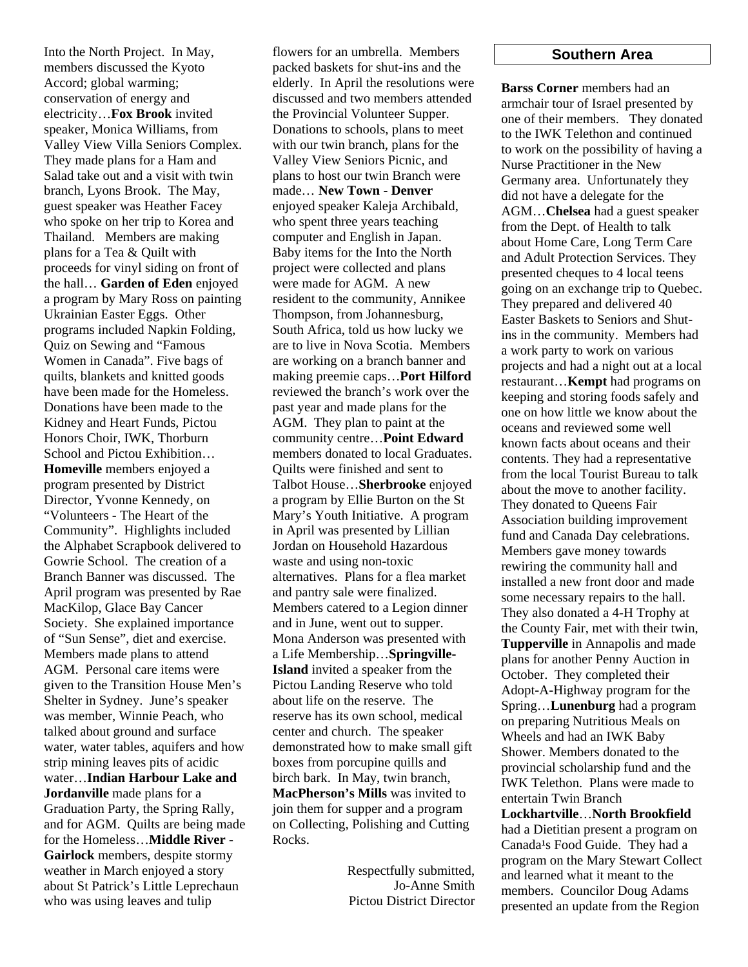Into the North Project. In May, members discussed the Kyoto Accord; global warming; conservation of energy and electricity…**Fox Brook** invited speaker, Monica Williams, from Valley View Villa Seniors Complex. They made plans for a Ham and Salad take out and a visit with twin branch, Lyons Brook. The May, guest speaker was Heather Facey who spoke on her trip to Korea and Thailand. Members are making plans for a Tea & Quilt with proceeds for vinyl siding on front of the hall… **Garden of Eden** enjoyed a program by Mary Ross on painting Ukrainian Easter Eggs. Other programs included Napkin Folding, Quiz on Sewing and "Famous Women in Canada". Five bags of quilts, blankets and knitted goods have been made for the Homeless. Donations have been made to the Kidney and Heart Funds, Pictou Honors Choir, IWK, Thorburn School and Pictou Exhibition… **Homeville** members enjoyed a program presented by District Director, Yvonne Kennedy, on "Volunteers - The Heart of the Community". Highlights included the Alphabet Scrapbook delivered to Gowrie School. The creation of a Branch Banner was discussed. The April program was presented by Rae MacKilop, Glace Bay Cancer Society. She explained importance of "Sun Sense", diet and exercise. Members made plans to attend AGM. Personal care items were given to the Transition House Men's Shelter in Sydney. June's speaker was member, Winnie Peach, who talked about ground and surface water, water tables, aquifers and how strip mining leaves pits of acidic water…**Indian Harbour Lake and Jordanville** made plans for a Graduation Party, the Spring Rally, and for AGM. Quilts are being made for the Homeless…**Middle River - Gairlock** members, despite stormy weather in March enjoyed a story about St Patrick's Little Leprechaun who was using leaves and tulip

flowers for an umbrella. Members packed baskets for shut-ins and the elderly. In April the resolutions were discussed and two members attended the Provincial Volunteer Supper. Donations to schools, plans to meet with our twin branch, plans for the Valley View Seniors Picnic, and plans to host our twin Branch were made… **New Town - Denver** enjoyed speaker Kaleja Archibald, who spent three years teaching computer and English in Japan. Baby items for the Into the North project were collected and plans were made for AGM. A new resident to the community, Annikee Thompson, from Johannesburg, South Africa, told us how lucky we are to live in Nova Scotia. Members are working on a branch banner and making preemie caps…**Port Hilford** reviewed the branch's work over the past year and made plans for the AGM. They plan to paint at the community centre…**Point Edward**  members donated to local Graduates. Quilts were finished and sent to Talbot House…**Sherbrooke** enjoyed a program by Ellie Burton on the St Mary's Youth Initiative. A program in April was presented by Lillian Jordan on Household Hazardous waste and using non-toxic alternatives. Plans for a flea market and pantry sale were finalized. Members catered to a Legion dinner and in June, went out to supper. Mona Anderson was presented with a Life Membership…**Springville-Island** invited a speaker from the Pictou Landing Reserve who told about life on the reserve. The reserve has its own school, medical center and church. The speaker demonstrated how to make small gift boxes from porcupine quills and birch bark. In May, twin branch, **MacPherson's Mills** was invited to join them for supper and a program on Collecting, Polishing and Cutting Rocks.

> Respectfully submitted, Jo-Anne Smith Pictou District Director

#### **Southern Area**

**Barss Corner** members had an armchair tour of Israel presented by one of their members. They donated to the IWK Telethon and continued to work on the possibility of having a Nurse Practitioner in the New Germany area. Unfortunately they did not have a delegate for the AGM…**Chelsea** had a guest speaker from the Dept. of Health to talk about Home Care, Long Term Care and Adult Protection Services. They presented cheques to 4 local teens going on an exchange trip to Quebec. They prepared and delivered 40 Easter Baskets to Seniors and Shutins in the community. Members had a work party to work on various projects and had a night out at a local restaurant…**Kempt** had programs on keeping and storing foods safely and one on how little we know about the oceans and reviewed some well known facts about oceans and their contents. They had a representative from the local Tourist Bureau to talk about the move to another facility. They donated to Queens Fair Association building improvement fund and Canada Day celebrations. Members gave money towards rewiring the community hall and installed a new front door and made some necessary repairs to the hall. They also donated a 4-H Trophy at the County Fair, met with their twin, **Tupperville** in Annapolis and made plans for another Penny Auction in October. They completed their Adopt-A-Highway program for the Spring…**Lunenburg** had a program on preparing Nutritious Meals on Wheels and had an IWK Baby Shower. Members donated to the provincial scholarship fund and the IWK Telethon. Plans were made to entertain Twin Branch **Lockhartville**…**North Brookfield** had a Dietitian present a program on Canada<sup>1</sup>s Food Guide. They had a program on the Mary Stewart Collect and learned what it meant to the members. Councilor Doug Adams presented an update from the Region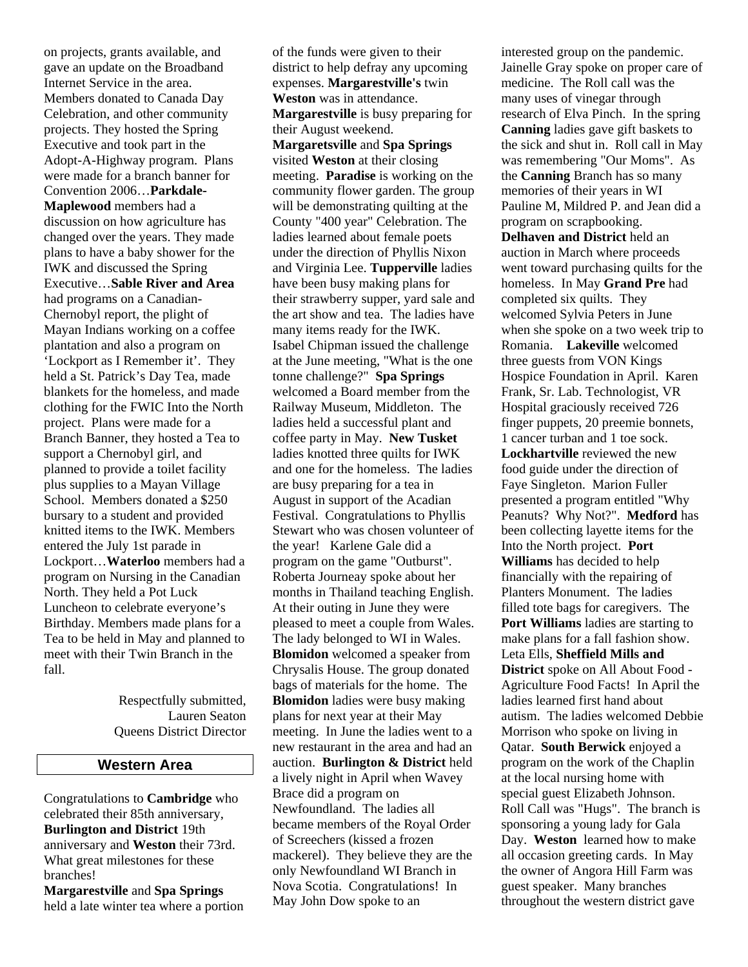on projects, grants available, and gave an update on the Broadband Internet Service in the area. Members donated to Canada Day Celebration, and other community projects. They hosted the Spring Executive and took part in the Adopt-A-Highway program. Plans were made for a branch banner for Convention 2006…**Parkdale-Maplewood** members had a discussion on how agriculture has changed over the years. They made plans to have a baby shower for the IWK and discussed the Spring Executive…**Sable River and Area** had programs on a Canadian-Chernobyl report, the plight of Mayan Indians working on a coffee plantation and also a program on 'Lockport as I Remember it'. They held a St. Patrick's Day Tea, made blankets for the homeless, and made clothing for the FWIC Into the North project. Plans were made for a Branch Banner, they hosted a Tea to support a Chernobyl girl, and planned to provide a toilet facility plus supplies to a Mayan Village School. Members donated a \$250 bursary to a student and provided knitted items to the IWK. Members entered the July 1st parade in Lockport…**Waterloo** members had a program on Nursing in the Canadian North. They held a Pot Luck Luncheon to celebrate everyone's Birthday. Members made plans for a Tea to be held in May and planned to meet with their Twin Branch in the fall.

> Respectfully submitted, Lauren Seaton Queens District Director

#### **Western Area**

Congratulations to **Cambridge** who celebrated their 85th anniversary, **Burlington and District** 19th anniversary and **Weston** their 73rd. What great milestones for these branches!

**Margarestville** and **Spa Springs** held a late winter tea where a portion of the funds were given to their district to help defray any upcoming expenses. **Margarestville's** twin **Weston** was in attendance. **Margarestville** is busy preparing for their August weekend. **Margaretsville** and **Spa Springs** visited **Weston** at their closing meeting. **Paradise** is working on the community flower garden. The group will be demonstrating quilting at the County "400 year" Celebration. The ladies learned about female poets under the direction of Phyllis Nixon and Virginia Lee. **Tupperville** ladies have been busy making plans for their strawberry supper, yard sale and the art show and tea. The ladies have many items ready for the IWK. Isabel Chipman issued the challenge at the June meeting, "What is the one tonne challenge?" **Spa Springs** welcomed a Board member from the Railway Museum, Middleton. The ladies held a successful plant and coffee party in May. **New Tusket** ladies knotted three quilts for IWK and one for the homeless. The ladies are busy preparing for a tea in August in support of the Acadian Festival. Congratulations to Phyllis Stewart who was chosen volunteer of the year! Karlene Gale did a program on the game "Outburst". Roberta Journeay spoke about her months in Thailand teaching English. At their outing in June they were pleased to meet a couple from Wales. The lady belonged to WI in Wales. **Blomidon** welcomed a speaker from Chrysalis House. The group donated bags of materials for the home. The **Blomidon** ladies were busy making plans for next year at their May meeting. In June the ladies went to a new restaurant in the area and had an auction. **Burlington & District** held a lively night in April when Wavey Brace did a program on Newfoundland. The ladies all became members of the Royal Order of Screechers (kissed a frozen mackerel). They believe they are the only Newfoundland WI Branch in Nova Scotia. Congratulations! In May John Dow spoke to an

interested group on the pandemic. Jainelle Gray spoke on proper care of medicine. The Roll call was the many uses of vinegar through research of Elva Pinch. In the spring **Canning** ladies gave gift baskets to the sick and shut in. Roll call in May was remembering "Our Moms". As the **Canning** Branch has so many memories of their years in WI Pauline M, Mildred P. and Jean did a program on scrapbooking. **Delhaven and District** held an auction in March where proceeds went toward purchasing quilts for the homeless. In May **Grand Pre** had completed six quilts. They welcomed Sylvia Peters in June when she spoke on a two week trip to Romania. **Lakeville** welcomed three guests from VON Kings Hospice Foundation in April. Karen Frank, Sr. Lab. Technologist, VR Hospital graciously received 726 finger puppets, 20 preemie bonnets, 1 cancer turban and 1 toe sock. **Lockhartville** reviewed the new food guide under the direction of Faye Singleton. Marion Fuller presented a program entitled "Why Peanuts? Why Not?". **Medford** has been collecting layette items for the Into the North project. **Port Williams** has decided to help financially with the repairing of Planters Monument. The ladies filled tote bags for caregivers. The **Port Williams** ladies are starting to make plans for a fall fashion show. Leta Ells, **Sheffield Mills and District** spoke on All About Food - Agriculture Food Facts! In April the ladies learned first hand about autism. The ladies welcomed Debbie Morrison who spoke on living in Qatar. **South Berwick** enjoyed a program on the work of the Chaplin at the local nursing home with special guest Elizabeth Johnson. Roll Call was "Hugs". The branch is sponsoring a young lady for Gala Day. **Weston** learned how to make all occasion greeting cards. In May the owner of Angora Hill Farm was guest speaker. Many branches throughout the western district gave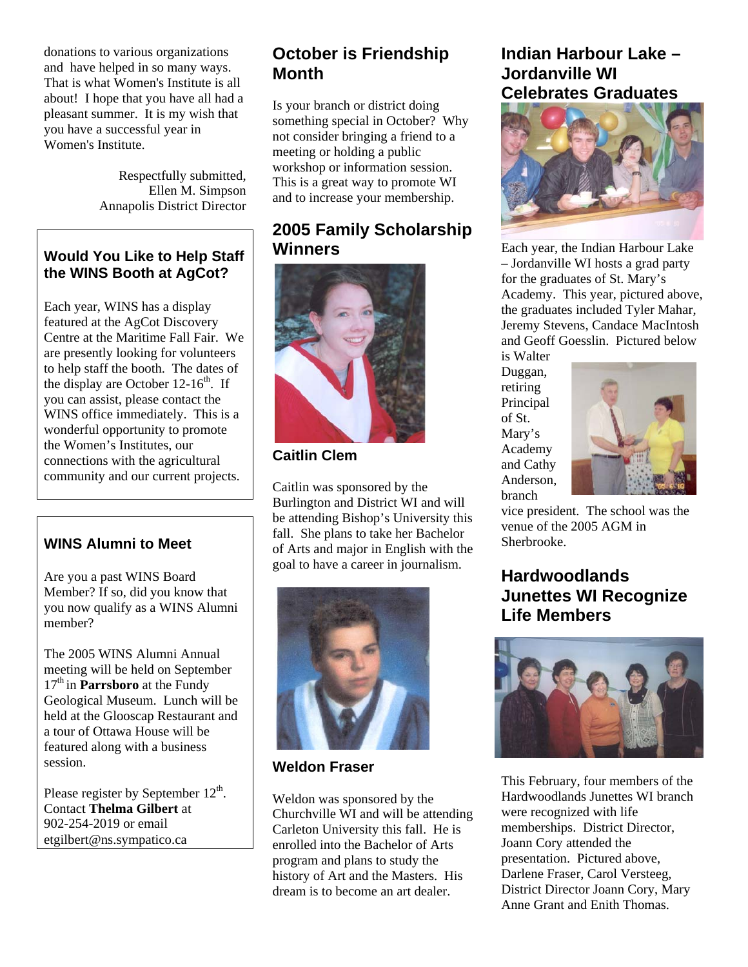donations to various organizations and have helped in so many ways. That is what Women's Institute is all about! I hope that you have all had a pleasant summer. It is my wish that you have a successful year in Women's Institute.

> Respectfully submitted, Ellen M. Simpson Annapolis District Director

### **Would You Like to Help Staff the WINS Booth at AgCot?**

Each year, WINS has a display featured at the AgCot Discovery Centre at the Maritime Fall Fair. We are presently looking for volunteers to help staff the booth. The dates of the display are October  $12-16^{th}$ . If you can assist, please contact the WINS office immediately. This is a wonderful opportunity to promote the Women's Institutes, our connections with the agricultural community and our current projects.

### **WINS Alumni to Meet**

Are you a past WINS Board Member? If so, did you know that you now qualify as a WINS Alumni member?

The 2005 WINS Alumni Annual meeting will be held on September 17<sup>th</sup> in **Parrsboro** at the Fundy Geological Museum. Lunch will be held at the Glooscap Restaurant and a tour of Ottawa House will be featured along with a business session.

Please register by September  $12<sup>th</sup>$ . Contact **Thelma Gilbert** at 902-254-2019 or email [etgilbert@ns.sympatico.ca](mailto:etgilbert@ns.sympatico.ca)

## **October is Friendship Month**

Is your branch or district doing something special in October? Why not consider bringing a friend to a meeting or holding a public workshop or information session. This is a great way to promote WI and to increase your membership.

## **2005 Family Scholarship Winners**



**Caitlin Clem**

Caitlin was sponsored by the Burlington and District WI and will be attending Bishop's University this fall. She plans to take her Bachelor of Arts and major in English with the goal to have a career in journalism.



**Weldon Fraser** 

Weldon was sponsored by the Churchville WI and will be attending Carleton University this fall. He is enrolled into the Bachelor of Arts program and plans to study the history of Art and the Masters. His dream is to become an art dealer.

### **Indian Harbour Lake – Jordanville WI Celebrates Graduates**



Each year, the Indian Harbour Lak e Academy. This year, pictured above, – Jordanville WI hosts a grad party for the graduates of St. Mary's the graduates included Tyler Mahar, Jeremy Stevens, Candace MacIntosh and Geoff Goesslin. Pictured below is Walter

, Anderson Duggan, retiring Principal of St. Mary's Academy and Cathy branch



vice president. The school was the venue of the 2005 AGM in Sherbrooke.

## **Hardwoodlands gnize Junettes WI Reco Life Members**



This February, four members of the , Darlene Fraser, Carol Versteeg District Director Joann Cory, Mary Hardwoodlands Junettes WI branch were recognized with life memberships. District Director, Joann Cory attended the presentation. Pictured above, Anne Grant and Enith Thomas.